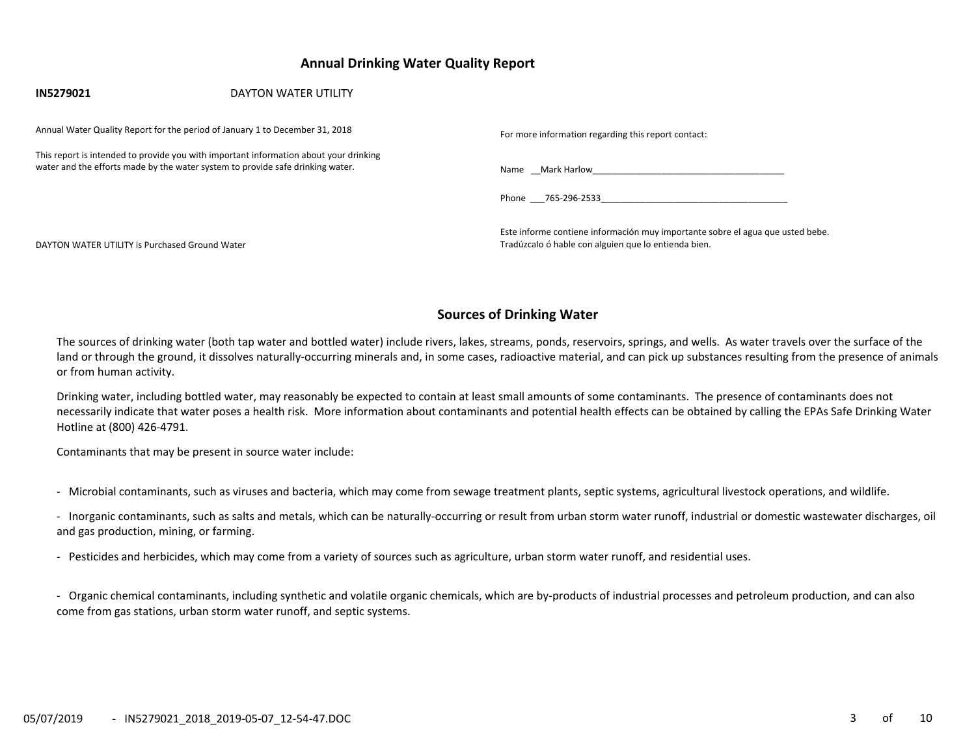## **Annual Drinking Water Quality Report**

| IN5279021                                      | <b>DAYTON WATER UTILITY</b>                                                                                                                                             |                                                                                                                                        |
|------------------------------------------------|-------------------------------------------------------------------------------------------------------------------------------------------------------------------------|----------------------------------------------------------------------------------------------------------------------------------------|
|                                                | Annual Water Quality Report for the period of January 1 to December 31, 2018                                                                                            | For more information regarding this report contact:                                                                                    |
|                                                | This report is intended to provide you with important information about your drinking<br>water and the efforts made by the water system to provide safe drinking water. | Name Mark Harlow Name Share Mark Harlow                                                                                                |
|                                                |                                                                                                                                                                         | Phone 765-296-2533                                                                                                                     |
| DAYTON WATER UTILITY is Purchased Ground Water |                                                                                                                                                                         | Este informe contiene información muy importante sobre el agua que usted bebe.<br>Tradúzcalo ó hable con alguien que lo entienda bien. |

## **Sources of Drinking Water**

The sources of drinking water (both tap water and bottled water) include rivers, lakes, streams, ponds, reservoirs, springs, and wells. As water travels over the surface of the land or through the ground, it dissolves naturally-occurring minerals and, in some cases, radioactive material, and can pick up substances resulting from the presence of animals or from human activity.

Drinking water, including bottled water, may reasonably be expected to contain at least small amounts of some contaminants. The presence of contaminants does not necessarily indicate that water poses a health risk. More information about contaminants and potential health effects can be obtained by calling the EPAs Safe Drinking Water Hotline at (800) 426‐4791.

Contaminants that may be present in source water include:

- ‐ Microbial contaminants, such as viruses and bacteria, which may come from sewage treatment plants, septic systems, agricultural livestock operations, and wildlife.
- ‐ Inorganic contaminants, such as salts and metals, which can be naturally‐occurring or result from urban storm water runoff, industrial or domestic wastewater discharges, oil and gas production, mining, or farming.
- ‐ Pesticides and herbicides, which may come from a variety of sources such as agriculture, urban storm water runoff, and residential uses.

‐ Organic chemical contaminants, including synthetic and volatile organic chemicals, which are by‐products of industrial processes and petroleum production, and can also come from gas stations, urban storm water runoff, and septic systems.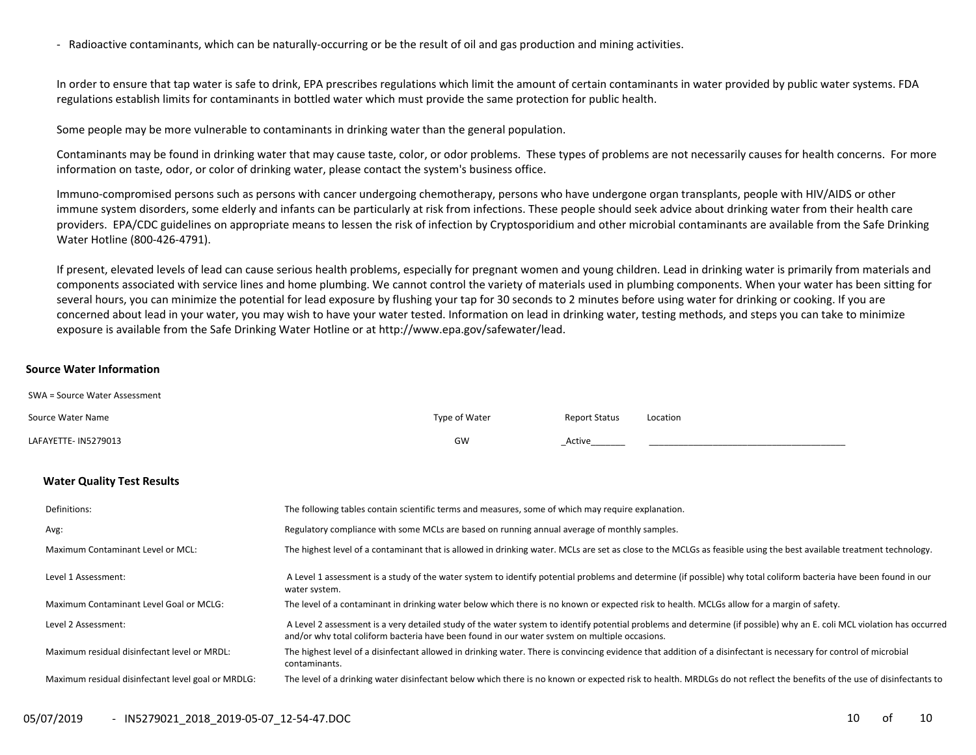‐ Radioactive contaminants, which can be naturally‐occurring or be the result of oil and gas production and mining activities.

In order to ensure that tap water is safe to drink, EPA prescribes regulations which limit the amount of certain contaminants in water provided by public water systems. FDA regulations establish limits for contaminants in bottled water which must provide the same protection for public health.

Some people may be more vulnerable to contaminants in drinking water than the general population.

Contaminants may be found in drinking water that may cause taste, color, or odor problems. These types of problems are not necessarily causes for health concerns. For more information on taste, odor, or color of drinking water, please contact the system's business office.

Immuno-compromised persons such as persons with cancer undergoing chemotherapy, persons who have undergone organ transplants, people with HIV/AIDS or other immune system disorders, some elderly and infants can be particularly at risk from infections. These people should seek advice about drinking water from their health care providers. EPA/CDC guidelines on appropriate means to lessen the risk of infection by Cryptosporidium and other microbial contaminants are available from the Safe Drinking Water Hotline (800‐426‐4791).

If present, elevated levels of lead can cause serious health problems, especially for pregnant women and young children. Lead in drinking water is primarily from materials and components associated with service lines and home plumbing. We cannot control the variety of materials used in plumbing components. When your water has been sitting for several hours, you can minimize the potential for lead exposure by flushing your tap for 30 seconds to 2 minutes before using water for drinking or cooking. If you are concerned about lead in your water, you may wish to have your water tested. Information on lead in drinking water, testing methods, and steps you can take to minimize exposure is available from the Safe Drinking Water Hotline or at http://www.epa.gov/safewater/lead.

#### **Source Water Information**

| SWA = Source Water Assessment                      |                                                                                                    |                                                                                              |                      |                                                                                                                                                                        |  |  |  |
|----------------------------------------------------|----------------------------------------------------------------------------------------------------|----------------------------------------------------------------------------------------------|----------------------|------------------------------------------------------------------------------------------------------------------------------------------------------------------------|--|--|--|
| Source Water Name                                  |                                                                                                    | Type of Water                                                                                | <b>Report Status</b> | Location                                                                                                                                                               |  |  |  |
| LAFAYETTE- IN5279013                               |                                                                                                    | GW                                                                                           | Active               |                                                                                                                                                                        |  |  |  |
| <b>Water Quality Test Results</b>                  |                                                                                                    |                                                                                              |                      |                                                                                                                                                                        |  |  |  |
| Definitions:                                       | The following tables contain scientific terms and measures, some of which may require explanation. |                                                                                              |                      |                                                                                                                                                                        |  |  |  |
| Avg:                                               |                                                                                                    | Regulatory compliance with some MCLs are based on running annual average of monthly samples. |                      |                                                                                                                                                                        |  |  |  |
| <b>Maximum Contaminant Level or MCL:</b>           |                                                                                                    |                                                                                              |                      | The highest level of a contaminant that is allowed in drinking water. MCLs are set as close to the MCLGs as feasible using the best available treatment technology.    |  |  |  |
| Level 1 Assessment:                                | water system.                                                                                      |                                                                                              |                      | A Level 1 assessment is a study of the water system to identify potential problems and determine (if possible) why total coliform bacteria have been found in our      |  |  |  |
| Maximum Contaminant Level Goal or MCLG:            |                                                                                                    |                                                                                              |                      | The level of a contaminant in drinking water below which there is no known or expected risk to health. MCLGs allow for a margin of safety.                             |  |  |  |
| Level 2 Assessment:                                | and/or why total coliform bacteria have been found in our water system on multiple occasions.      |                                                                                              |                      | A Level 2 assessment is a very detailed study of the water system to identify potential problems and determine (if possible) why an E. coli MCL violation has occurred |  |  |  |
| Maximum residual disinfectant level or MRDL:       | contaminants.                                                                                      |                                                                                              |                      | The highest level of a disinfectant allowed in drinking water. There is convincing evidence that addition of a disinfectant is necessary for control of microbial      |  |  |  |
| Maximum residual disinfectant level goal or MRDLG: |                                                                                                    |                                                                                              |                      | The level of a drinking water disinfectant below which there is no known or expected risk to health. MRDLGs do not reflect the benefits of the use of disinfectants to |  |  |  |
|                                                    |                                                                                                    |                                                                                              |                      |                                                                                                                                                                        |  |  |  |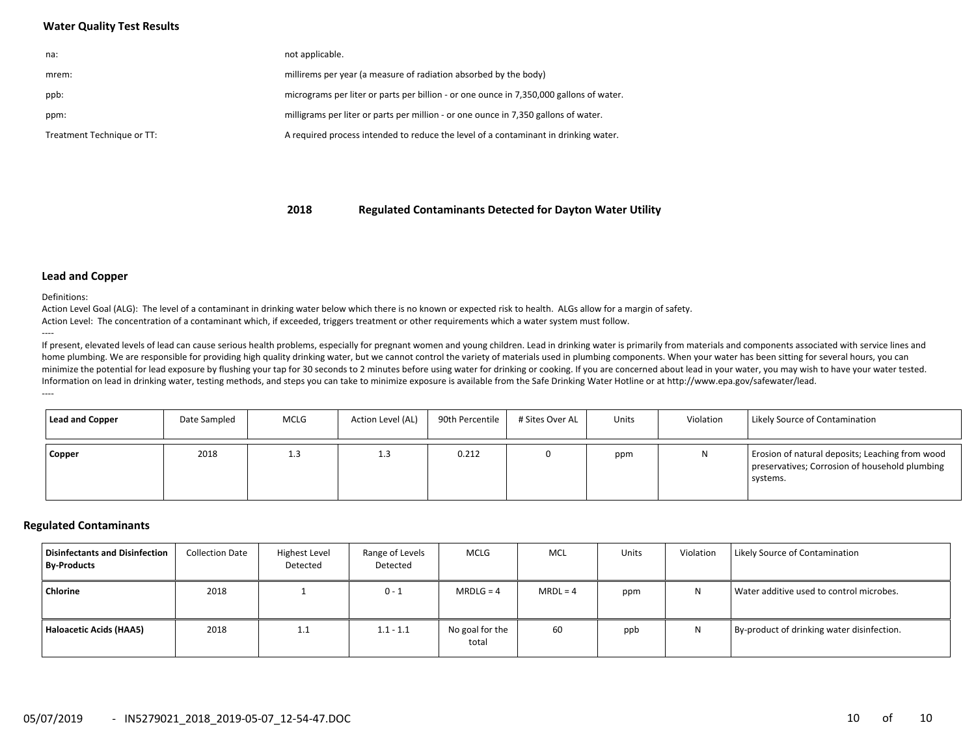## **Water Quality Test Results**

| na:                        | not applicable.                                                                         |
|----------------------------|-----------------------------------------------------------------------------------------|
| mrem:                      | millirems per year (a measure of radiation absorbed by the body)                        |
| ppb:                       | micrograms per liter or parts per billion - or one ounce in 7,350,000 gallons of water. |
| ppm:                       | milligrams per liter or parts per million - or one ounce in 7,350 gallons of water.     |
| Treatment Technique or TT: | A required process intended to reduce the level of a contaminant in drinking water.     |

**2018Regulated Contaminants Detected for Dayton Water Utility**

#### **Lead and Copper**

Definitions:

Action Level Goal (ALG): The level of a contaminant in drinking water below which there is no known or expected risk to health. ALGs allow for a margin of safety. Action Level: The concentration of a contaminant which, if exceeded, triggers treatment or other requirements which a water system must follow. ‐‐‐‐

If present, elevated levels of lead can cause serious health problems, especially for pregnant women and young children. Lead in drinking water is primarily from materials and components associated with service lines and home plumbing. We are responsible for providing high quality drinking water, but we cannot control the variety of materials used in plumbing components. When your water has been sitting for several hours, you can minimize the potential for lead exposure by flushing your tap for 30 seconds to 2 minutes before using water for drinking or cooking. If you are concerned about lead in your water, you may wish to have your water tested. Information on lead in drinking water, testing methods, and steps you can take to minimize exposure is available from the Safe Drinking Water Hotline or at http://www.epa.gov/safewater/lead. ‐‐‐‐

| Lead and Copper | Date Sampled | <b>MCLG</b> | Action Level (AL) | 90th Percentile | # Sites Over AL | Units | Violation | Likely Source of Contamination                                                                                |
|-----------------|--------------|-------------|-------------------|-----------------|-----------------|-------|-----------|---------------------------------------------------------------------------------------------------------------|
| <b>Copper</b>   | 2018         | 1.3         | 1.3               | 0.212           |                 | ppm   | N         | Erosion of natural deposits; Leaching from wood<br>preservatives; Corrosion of household plumbing<br>systems. |

#### **Regulated Contaminants**

| Disinfectants and Disinfection<br><b>By-Products</b> | <b>Collection Date</b> | Highest Level<br>Detected | Range of Levels<br>Detected | <b>MCLG</b>              | MCL        | Units | Violation | Likely Source of Contamination             |
|------------------------------------------------------|------------------------|---------------------------|-----------------------------|--------------------------|------------|-------|-----------|--------------------------------------------|
| Chlorine                                             | 2018                   |                           | $0 - 1$                     | $MRDLG = 4$              | $MRDL = 4$ | ppm   | И         | Water additive used to control microbes.   |
| Haloacetic Acids (HAA5)                              | 2018                   | 1.1                       | $1.1 - 1.1$                 | No goal for the<br>total | 60         | ppb   | N         | By-product of drinking water disinfection. |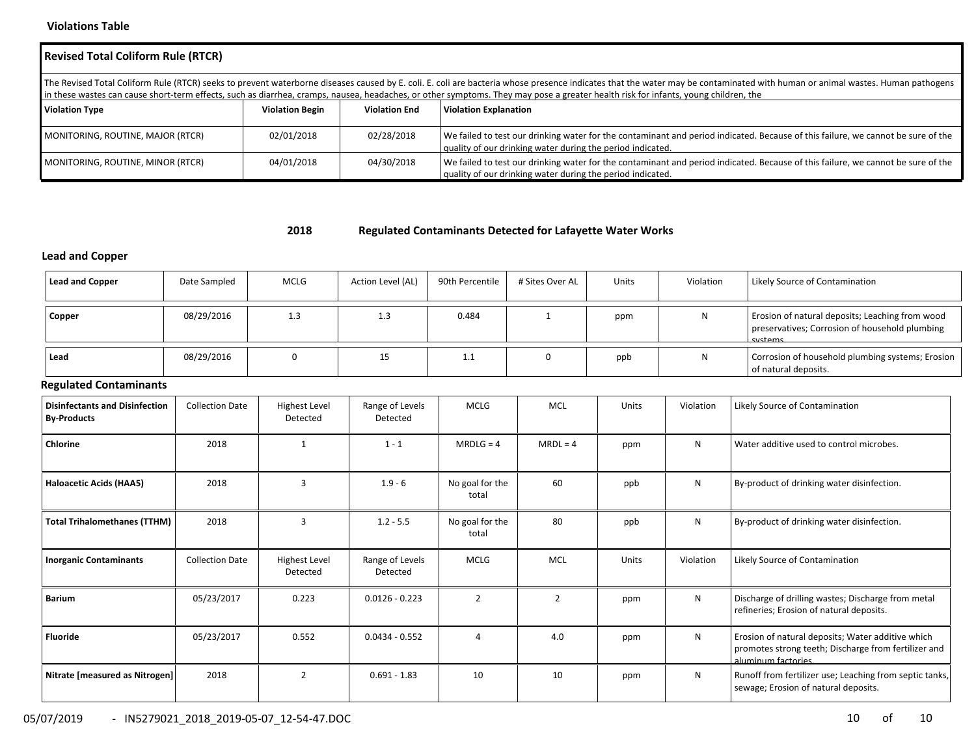### **Violations Table**

| <b>Revised Total Coliform Rule (RTCR)</b>                                                                                                                                                                                                                                                                                                                                                                          |            |            |                                                                                                                                                                                                |  |  |  |  |  |  |  |
|--------------------------------------------------------------------------------------------------------------------------------------------------------------------------------------------------------------------------------------------------------------------------------------------------------------------------------------------------------------------------------------------------------------------|------------|------------|------------------------------------------------------------------------------------------------------------------------------------------------------------------------------------------------|--|--|--|--|--|--|--|
| The Revised Total Coliform Rule (RTCR) seeks to prevent waterborne diseases caused by E. coli. E. coli are bacteria whose presence indicates that the water may be contaminated with human or animal wastes. Human pathogens<br>in these wastes can cause short-term effects, such as diarrhea, cramps, nausea, headaches, or other symptoms. They may pose a greater health risk for infants, young children, the |            |            |                                                                                                                                                                                                |  |  |  |  |  |  |  |
| <b>Violation Type</b><br><b>Violation Begin</b><br><b>Violation Explanation</b><br><b>Violation End</b>                                                                                                                                                                                                                                                                                                            |            |            |                                                                                                                                                                                                |  |  |  |  |  |  |  |
| MONITORING, ROUTINE, MAJOR (RTCR)                                                                                                                                                                                                                                                                                                                                                                                  | 02/01/2018 | 02/28/2018 | We failed to test our drinking water for the contaminant and period indicated. Because of this failure, we cannot be sure of the<br>quality of our drinking water during the period indicated. |  |  |  |  |  |  |  |
| 04/30/2018<br>04/01/2018<br>We failed to test our drinking water for the contaminant and period indicated. Because of this failure, we cannot be sure of the<br>MONITORING, ROUTINE, MINOR (RTCR)<br>quality of our drinking water during the period indicated.                                                                                                                                                    |            |            |                                                                                                                                                                                                |  |  |  |  |  |  |  |

#### **2018Regulated Contaminants Detected for Lafayette Water Works**

# **Lead and Copper**

| <b>Lead and Copper</b>                                      | Date Sampled           | <b>MCLG</b>                      | Action Level (AL)           | 90th Percentile          | # Sites Over AL | <b>Units</b> | Violation    | Likely Source of Contamination                                                                                                   |
|-------------------------------------------------------------|------------------------|----------------------------------|-----------------------------|--------------------------|-----------------|--------------|--------------|----------------------------------------------------------------------------------------------------------------------------------|
| Copper                                                      | 08/29/2016             | 1.3                              | 1.3                         | 0.484                    | $\mathbf{1}$    | ppm          | N            | Erosion of natural deposits; Leaching from wood<br>preservatives; Corrosion of household plumbing<br>svstems                     |
| Lead                                                        | 08/29/2016             | $\mathbf 0$                      | 15                          | 1.1                      | 0               | ppb          | N            | Corrosion of household plumbing systems; Erosion<br>of natural deposits.                                                         |
| <b>Regulated Contaminants</b>                               |                        |                                  |                             |                          |                 |              |              |                                                                                                                                  |
| <b>Disinfectants and Disinfection</b><br><b>By-Products</b> | <b>Collection Date</b> | <b>Highest Level</b><br>Detected | Range of Levels<br>Detected | <b>MCLG</b>              | <b>MCL</b>      | Units        | Violation    | Likely Source of Contamination                                                                                                   |
| Chlorine                                                    | 2018                   | 1                                | $1 - 1$                     | $MRDLG = 4$              | $MRDL = 4$      | ppm          | $\mathsf{N}$ | Water additive used to control microbes.                                                                                         |
| Haloacetic Acids (HAA5)                                     | 2018                   | 3                                | $1.9 - 6$                   | No goal for the<br>total | 60              | ppb          | N            | By-product of drinking water disinfection.                                                                                       |
| <b>Total Trihalomethanes (TTHM)</b>                         | 2018                   | 3                                | $1.2 - 5.5$                 | No goal for the<br>total | 80              | ppb          | N            | By-product of drinking water disinfection.                                                                                       |
| <b>Inorganic Contaminants</b>                               | <b>Collection Date</b> | <b>Highest Level</b><br>Detected | Range of Levels<br>Detected | <b>MCLG</b>              | <b>MCL</b>      | Units        | Violation    | Likely Source of Contamination                                                                                                   |
| <b>Barium</b>                                               | 05/23/2017             | 0.223                            | $0.0126 - 0.223$            | $\overline{2}$           | $\overline{2}$  | ppm          | N            | Discharge of drilling wastes; Discharge from metal<br>refineries; Erosion of natural deposits.                                   |
| <b>Fluoride</b>                                             | 05/23/2017             | 0.552                            | $0.0434 - 0.552$            | $\overline{a}$           | 4.0             | ppm          | N            | Erosion of natural deposits; Water additive which<br>promotes strong teeth; Discharge from fertilizer and<br>aluminum factories. |
| Nitrate [measured as Nitrogen]                              | 2018                   | $\overline{2}$                   | $0.691 - 1.83$              | 10                       | 10              | ppm          | N            | Runoff from fertilizer use; Leaching from septic tanks,<br>sewage; Erosion of natural deposits.                                  |